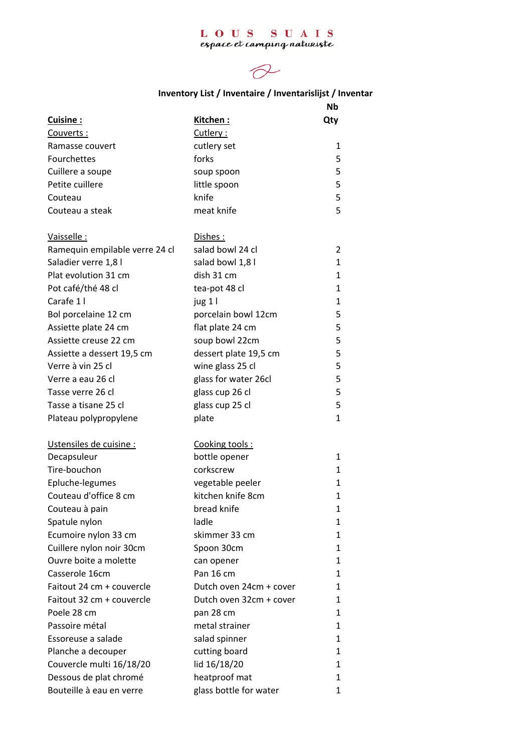## L O U S S U A I S<br>espace et camping naturiste



## **Inventory List / Inventaire / Inventarislijst / Inventar**

|                                |                         | Nb           |
|--------------------------------|-------------------------|--------------|
| Cuisine:                       | Kitchen:                | Qty          |
| Couverts:                      | Cutlery:                |              |
| Ramasse couvert                | cutlery set             | 1            |
| Fourchettes                    | forks                   | 5            |
| Cuillere a soupe               | soup spoon              | 5            |
| Petite cuillere                | little spoon            | 5            |
| Couteau                        | knife                   | 5            |
| Couteau a steak                | meat knife              | 5            |
| Vaisselle:                     | Dishes:                 |              |
| Ramequin empilable verre 24 cl | salad bowl 24 cl        | 2            |
| Saladier verre 1,8 l           | salad bowl 1,8 l        | $\mathbf{1}$ |
| Plat evolution 31 cm           | dish 31 cm              | 1            |
| Pot café/thé 48 cl             | tea-pot 48 cl           | $\mathbf{1}$ |
| Carafe 1 I                     | jug 1 l                 | $\mathbf{1}$ |
| Bol porcelaine 12 cm           | porcelain bowl 12cm     | 5            |
| Assiette plate 24 cm           | flat plate 24 cm        | 5            |
| Assiette creuse 22 cm          | soup bowl 22cm          | 5            |
| Assiette a dessert 19,5 cm     | dessert plate 19,5 cm   | 5            |
| Verre à vin 25 cl              | wine glass 25 cl        | 5            |
| Verre a eau 26 cl              | glass for water 26cl    | 5            |
| Tasse verre 26 cl              | glass cup 26 cl         | 5            |
| Tasse a tisane 25 cl           | glass cup 25 cl         | 5            |
| Plateau polypropylene          | plate                   | $\mathbf{1}$ |
| Ustensiles de cuisine :        | Cooking tools:          |              |
| Decapsuleur                    | bottle opener           | 1            |
| Tire-bouchon                   | corkscrew               | 1            |
| Epluche-legumes                | vegetable peeler        | 1            |
| Couteau d'office 8 cm          | kitchen knife 8cm       | 1            |
| Couteau à pain                 | bread knife             | 1            |
| Spatule nylon                  | ladle                   | 1            |
| Ecumoire nylon 33 cm           | skimmer 33 cm           | 1            |
| Cuillere nylon noir 30cm       | Spoon 30cm              | $\mathbf{1}$ |
| Ouvre boite a molette          | can opener              | 1            |
| Casserole 16cm                 | Pan 16 cm               | 1            |
| Faitout 24 cm + couvercle      | Dutch oven 24cm + cover | 1            |
| Faitout 32 cm + couvercle      | Dutch oven 32cm + cover | 1            |
| Poele 28 cm                    | pan 28 cm               | 1            |
| Passoire métal                 | metal strainer          | $\mathbf{1}$ |
| Essoreuse a salade             | salad spinner           | 1            |
| Planche a decouper             | cutting board           | 1            |
| Couvercle multi 16/18/20       | lid 16/18/20            | $\mathbf{1}$ |
| Dessous de plat chromé         | heatproof mat           | 1            |
| Bouteille à eau en verre       | glass bottle for water  | 1            |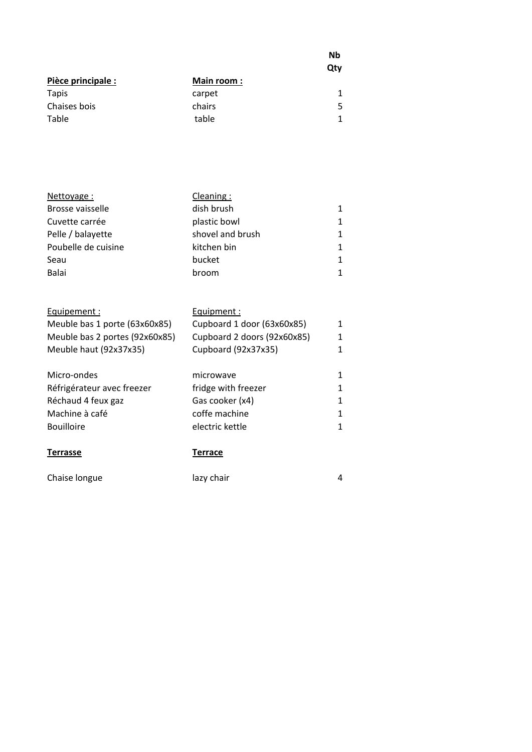|                    |                   | Nb<br>Qty |
|--------------------|-------------------|-----------|
| Pièce principale : | <b>Main room:</b> |           |
| <b>Tapis</b>       | carpet            |           |
| Chaises bois       | chairs            | 5         |
| Table              | table             | 1         |

| Nettoyage:          | Cleaning :       |              |
|---------------------|------------------|--------------|
| Brosse vaisselle    | dish brush       | 1.           |
| Cuvette carrée      | plastic bowl     | 1            |
| Pelle / balayette   | shovel and brush | 1            |
| Poubelle de cuisine | kitchen bin      | 1            |
| Seau                | bucket           | $\mathbf{1}$ |
| <b>Balai</b>        | broom            | 1            |

| Terrasse                       | Terrace                     |   |
|--------------------------------|-----------------------------|---|
| <b>Bouilloire</b>              | electric kettle             | 1 |
| Machine à café                 | coffe machine               | 1 |
| Réchaud 4 feux gaz             | Gas cooker (x4)             | 1 |
| Réfrigérateur avec freezer     | fridge with freezer         | 1 |
| Micro-ondes                    | microwave                   | 1 |
| Meuble haut (92x37x35)         | Cupboard (92x37x35)         | 1 |
| Meuble bas 2 portes (92x60x85) | Cupboard 2 doors (92x60x85) | 1 |
| Meuble bas 1 porte (63x60x85)  | Cupboard 1 door (63x60x85)  | 1 |
| Equipement :                   | Equipment :                 |   |
|                                |                             |   |

Chaise longue and lazy chair and lazy chair and the state of the state of the state of the state of the state of the state of the state of the state of the state of the state of the state of the state of the state of the s